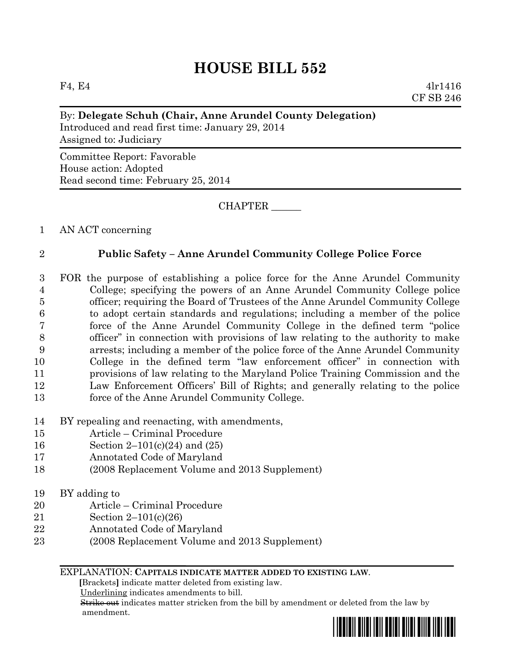# **HOUSE BILL 552**

F4, E4  $4l$ r1416 CF SB 246

### By: **Delegate Schuh (Chair, Anne Arundel County Delegation)**

Introduced and read first time: January 29, 2014 Assigned to: Judiciary

Committee Report: Favorable House action: Adopted Read second time: February 25, 2014

CHAPTER \_\_\_\_\_\_

1 AN ACT concerning

## 2 **Public Safety – Anne Arundel Community College Police Force**

- 3 FOR the purpose of establishing a police force for the Anne Arundel Community 4 College; specifying the powers of an Anne Arundel Community College police 5 officer; requiring the Board of Trustees of the Anne Arundel Community College 6 to adopt certain standards and regulations; including a member of the police 7 force of the Anne Arundel Community College in the defined term "police 8 officer" in connection with provisions of law relating to the authority to make 9 arrests; including a member of the police force of the Anne Arundel Community 10 College in the defined term "law enforcement officer" in connection with 11 provisions of law relating to the Maryland Police Training Commission and the 12 Law Enforcement Officers' Bill of Rights; and generally relating to the police 13 force of the Anne Arundel Community College.
- 14 BY repealing and reenacting, with amendments,
- 15 Article Criminal Procedure
- 16 Section 2–101(c)(24) and (25)
- 17 Annotated Code of Maryland
- 18 (2008 Replacement Volume and 2013 Supplement)
- 19 BY adding to
- 20 Article Criminal Procedure
- 21 Section 2–101(c)(26)
- 22 Annotated Code of Maryland
- 23 (2008 Replacement Volume and 2013 Supplement)

### EXPLANATION: **CAPITALS INDICATE MATTER ADDED TO EXISTING LAW**.

 **[**Brackets**]** indicate matter deleted from existing law.

Underlining indicates amendments to bill.

 Strike out indicates matter stricken from the bill by amendment or deleted from the law by amendment.

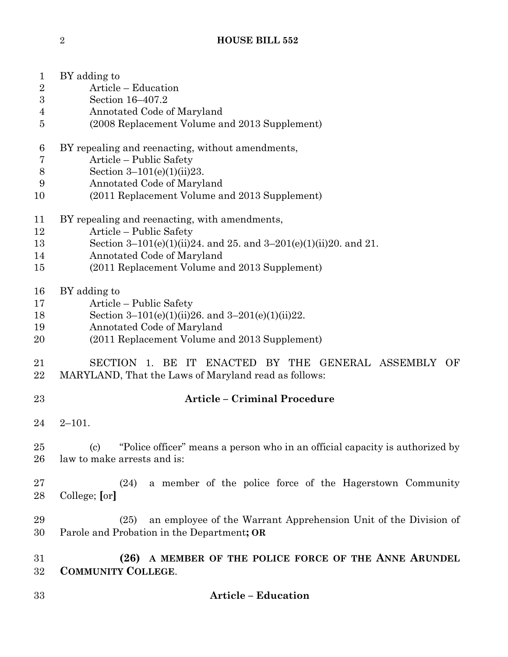# **HOUSE BILL 552**

| 33                    | <b>Article - Education</b>                                                                                            |
|-----------------------|-----------------------------------------------------------------------------------------------------------------------|
| $31\,$<br>$32\,$      | (26) A MEMBER OF THE POLICE FORCE OF THE ANNE ARUNDEL<br><b>COMMUNITY COLLEGE.</b>                                    |
| 29<br>30              | an employee of the Warrant Apprehension Unit of the Division of<br>(25)<br>Parole and Probation in the Department; OR |
| $27\,$<br>28          | a member of the police force of the Hagerstown Community<br>(24)<br>College; [or]                                     |
| $25\,$<br>26          | "Police officer" means a person who in an official capacity is authorized by<br>(c)<br>law to make arrests and is:    |
| 24                    | $2 - 101.$                                                                                                            |
| 23                    | <b>Article - Criminal Procedure</b>                                                                                   |
| 21<br>22              | ENACTED BY THE GENERAL ASSEMBLY OF<br>SECTION 1. BE IT<br>MARYLAND, That the Laws of Maryland read as follows:        |
| 19<br>20              | Annotated Code of Maryland<br>(2011 Replacement Volume and 2013 Supplement)                                           |
| 18                    | Section 3-101(e)(1)(ii)26. and 3-201(e)(1)(ii)22.                                                                     |
| 16<br>17              | BY adding to<br>Article – Public Safety                                                                               |
| 15                    | (2011 Replacement Volume and 2013 Supplement)                                                                         |
| 14                    | Annotated Code of Maryland                                                                                            |
| 13                    | Section 3–101(e)(1)(ii)24. and 25. and 3–201(e)(1)(ii)20. and 21.                                                     |
| 11<br>12              | BY repealing and reenacting, with amendments,<br>Article – Public Safety                                              |
| 10                    | (2011 Replacement Volume and 2013 Supplement)                                                                         |
| 8<br>9                | Section $3-101(e)(1)(ii)23$ .<br>Annotated Code of Maryland                                                           |
| 7                     | Article – Public Safety                                                                                               |
| 6                     | BY repealing and reenacting, without amendments,                                                                      |
| 5                     | (2008 Replacement Volume and 2013 Supplement)                                                                         |
| $\boldsymbol{3}$<br>4 | Section 16-407.2<br>Annotated Code of Maryland                                                                        |
| $\overline{2}$        | Article – Education                                                                                                   |
| $\mathbf{1}$          | BY adding to                                                                                                          |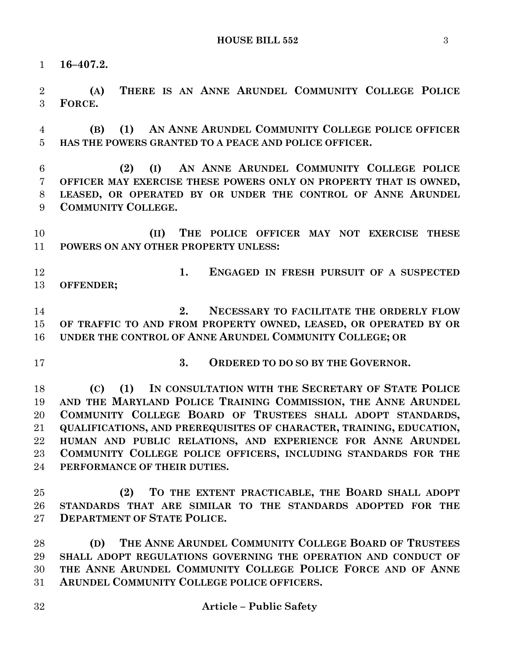**16–407.2.**

 **(A) THERE IS AN ANNE ARUNDEL COMMUNITY COLLEGE POLICE FORCE.**

 **(B) (1) AN ANNE ARUNDEL COMMUNITY COLLEGE POLICE OFFICER HAS THE POWERS GRANTED TO A PEACE AND POLICE OFFICER.**

 **(2) (I) AN ANNE ARUNDEL COMMUNITY COLLEGE POLICE OFFICER MAY EXERCISE THESE POWERS ONLY ON PROPERTY THAT IS OWNED, LEASED, OR OPERATED BY OR UNDER THE CONTROL OF ANNE ARUNDEL COMMUNITY COLLEGE.**

 **(II) THE POLICE OFFICER MAY NOT EXERCISE THESE POWERS ON ANY OTHER PROPERTY UNLESS:**

 **1. ENGAGED IN FRESH PURSUIT OF A SUSPECTED OFFENDER;**

 **2. NECESSARY TO FACILITATE THE ORDERLY FLOW OF TRAFFIC TO AND FROM PROPERTY OWNED, LEASED, OR OPERATED BY OR UNDER THE CONTROL OF ANNE ARUNDEL COMMUNITY COLLEGE; OR**

**3. ORDERED TO DO SO BY THE GOVERNOR.**

 **(C) (1) IN CONSULTATION WITH THE SECRETARY OF STATE POLICE AND THE MARYLAND POLICE TRAINING COMMISSION, THE ANNE ARUNDEL COMMUNITY COLLEGE BOARD OF TRUSTEES SHALL ADOPT STANDARDS, QUALIFICATIONS, AND PREREQUISITES OF CHARACTER, TRAINING, EDUCATION, HUMAN AND PUBLIC RELATIONS, AND EXPERIENCE FOR ANNE ARUNDEL COMMUNITY COLLEGE POLICE OFFICERS, INCLUDING STANDARDS FOR THE PERFORMANCE OF THEIR DUTIES.**

 **(2) TO THE EXTENT PRACTICABLE, THE BOARD SHALL ADOPT STANDARDS THAT ARE SIMILAR TO THE STANDARDS ADOPTED FOR THE DEPARTMENT OF STATE POLICE.**

 **(D) THE ANNE ARUNDEL COMMUNITY COLLEGE BOARD OF TRUSTEES SHALL ADOPT REGULATIONS GOVERNING THE OPERATION AND CONDUCT OF THE ANNE ARUNDEL COMMUNITY COLLEGE POLICE FORCE AND OF ANNE ARUNDEL COMMUNITY COLLEGE POLICE OFFICERS.**

| $32\,$ | <b>Article - Public Safety</b> |
|--------|--------------------------------|
|        |                                |